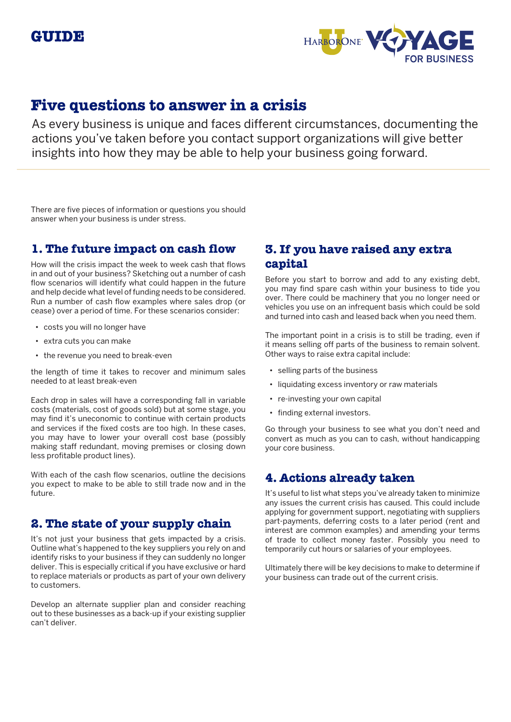

# **Five questions to answer in a crisis**

As every business is unique and faces different circumstances, documenting the actions you've taken before you contact support organizations will give better insights into how they may be able to help your business going forward.

There are five pieces of information or questions you should answer when your business is under stress.

## **1. The future impact on cash flow**

How will the crisis impact the week to week cash that flows in and out of your business? Sketching out a number of cash flow scenarios will identify what could happen in the future and help decide what level of funding needs to be considered. Run a number of cash flow examples where sales drop (or cease) over a period of time. For these scenarios consider:

- costs you will no longer have
- extra cuts you can make
- the revenue you need to break-even

the length of time it takes to recover and minimum sales needed to at least break-even

Each drop in sales will have a corresponding fall in variable costs (materials, cost of goods sold) but at some stage, you may find it's uneconomic to continue with certain products and services if the fixed costs are too high. In these cases, you may have to lower your overall cost base (possibly making staff redundant, moving premises or closing down less profitable product lines).

With each of the cash flow scenarios, outline the decisions you expect to make to be able to still trade now and in the future.

### **2. The state of your supply chain**

It's not just your business that gets impacted by a crisis. Outline what's happened to the key suppliers you rely on and identify risks to your business if they can suddenly no longer deliver. This is especially critical if you have exclusive or hard to replace materials or products as part of your own delivery to customers.

Develop an alternate supplier plan and consider reaching out to these businesses as a back-up if your existing supplier can't deliver.

# **3. If you have raised any extra capital**

Before you start to borrow and add to any existing debt, you may find spare cash within your business to tide you over. There could be machinery that you no longer need or vehicles you use on an infrequent basis which could be sold and turned into cash and leased back when you need them.

The important point in a crisis is to still be trading, even if it means selling off parts of the business to remain solvent. Other ways to raise extra capital include:

- selling parts of the business
- liquidating excess inventory or raw materials
- re-investing your own capital
- finding external investors.

Go through your business to see what you don't need and convert as much as you can to cash, without handicapping your core business.

## **4. Actions already taken**

It's useful to list what steps you've already taken to minimize any issues the current crisis has caused. This could include applying for government support, negotiating with suppliers part-payments, deferring costs to a later period (rent and interest are common examples) and amending your terms of trade to collect money faster. Possibly you need to temporarily cut hours or salaries of your employees.

Ultimately there will be key decisions to make to determine if your business can trade out of the current crisis.